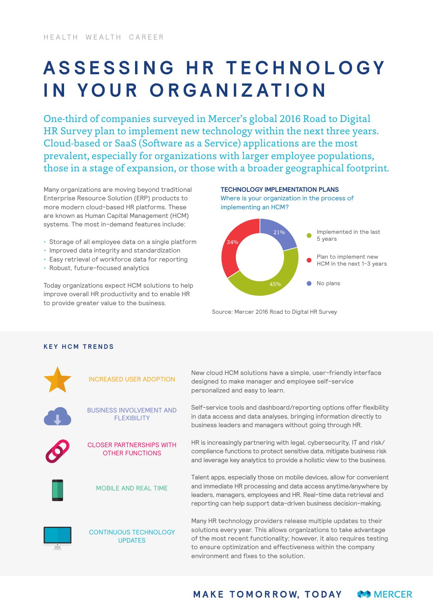## **A S S E S S I N G H R T E C H N O L O G Y IN YOUR ORGANIZATION**

One-third of companies surveyed in Mercer's global 2016 Road to Digital HR Survey plan to implement new technology within the next three years. Cloud-based or SaaS (Software as a Service) applications are the most prevalent, especially for organizations with larger employee populations, those in a stage of expansion, or those with a broader geographical footprint.

Many organizations are moving beyond traditional Enterprise Resource Solution (ERP) products to more modern cloud-based HR platforms. These are known as Human Capital Management (HCM) systems. The most in-demand features include:

- Storage of all employee data on a single platform
- Improved data integrity and standardization
- Easy retrieval of workforce data for reporting
- Robust, future-focused analytics

Today organizations expect HCM solutions to help improve overall HR productivity and to enable HR to provide greater value to the business.



Source: Mercer 2016 Road to Digital HR Survey

## **KEY HCM TRENDS**

| INCREASED USER ADOPTION                                   | New cloud HCM solutions have a simple, user-friendly interface<br>designed to make manager and employee self-service<br>personalized and easy to learn.                                                                                                                                                             |
|-----------------------------------------------------------|---------------------------------------------------------------------------------------------------------------------------------------------------------------------------------------------------------------------------------------------------------------------------------------------------------------------|
| <b>BUSINESS INVOLVEMENT AND</b><br><b>FLEXIBILITY</b>     | Self-service tools and dashboard/reporting options offer flexibility<br>in data access and data analyses, bringing information directly to<br>business leaders and managers without going through HR.                                                                                                               |
| <b>CLOSER PARTNERSHIPS WITH</b><br><b>OTHER FUNCTIONS</b> | HR is increasingly partnering with legal, cybersecurity, IT and risk/<br>compliance functions to protect sensitive data, mitigate business risk<br>and leverage key analytics to provide a holistic view to the business.                                                                                           |
| <b>MOBILE AND REAL TIME</b>                               | Talent apps, especially those on mobile devices, allow for convenient<br>and immediate HR processing and data access anytime/anywhere by<br>leaders, managers, employees and HR. Real-time data retrieval and<br>reporting can help support data-driven business decision-making.                                   |
| <b>CONTINUOUS TECHNOLOGY</b><br><b>UPDATES</b>            | Many HR technology providers release multiple updates to their<br>solutions every year. This allows organizations to take advantage<br>of the most recent functionality; however, it also requires testing<br>to ensure optimization and effectiveness within the company<br>environment and fixes to the solution. |